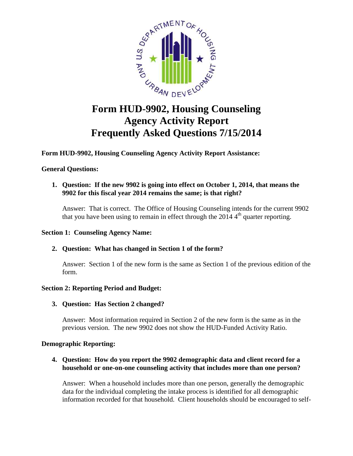

# **Form HUD-9902, Housing Counseling Agency Activity Report Frequently Asked Questions 7/15/2014**

**Form HUD-9902, Housing Counseling Agency Activity Report Assistance:**

# **General Questions:**

**1. Question: If the new 9902 is going into effect on October 1, 2014, that means the 9902 for this fiscal year 2014 remains the same; is that right?**

Answer: That is correct. The Office of Housing Counseling intends for the current 9902 that you have been using to remain in effect through the  $20144<sup>th</sup>$  quarter reporting.

# **Section 1: Counseling Agency Name:**

# **2. Question: What has changed in Section 1 of the form?**

Answer: Section 1 of the new form is the same as Section 1 of the previous edition of the form.

# **Section 2: Reporting Period and Budget:**

# **3. Question: Has Section 2 changed?**

Answer: Most information required in Section 2 of the new form is the same as in the previous version. The new 9902 does not show the HUD-Funded Activity Ratio.

# **Demographic Reporting:**

# **4. Question: How do you report the 9902 demographic data and client record for a household or one-on-one counseling activity that includes more than one person?**

Answer: When a household includes more than one person, generally the demographic data for the individual completing the intake process is identified for all demographic information recorded for that household. Client households should be encouraged to self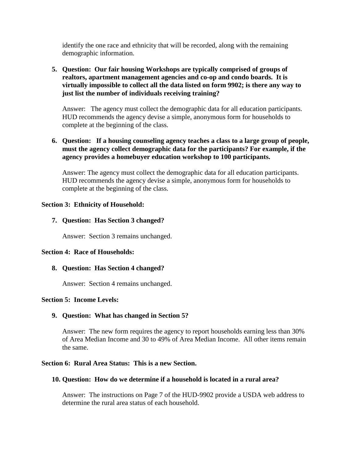identify the one race and ethnicity that will be recorded, along with the remaining demographic information.

# **5. Question: Our fair housing Workshops are typically comprised of groups of realtors, apartment management agencies and co-op and condo boards. It is virtually impossible to collect all the data listed on form 9902; is there any way to just list the number of individuals receiving training?**

Answer: The agency must collect the demographic data for all education participants. HUD recommends the agency devise a simple, anonymous form for households to complete at the beginning of the class.

# **6. Question: If a housing counseling agency teaches a class to a large group of people, must the agency collect demographic data for the participants? For example, if the agency provides a homebuyer education workshop to 100 participants.**

Answer: The agency must collect the demographic data for all education participants. HUD recommends the agency devise a simple, anonymous form for households to complete at the beginning of the class.

## **Section 3: Ethnicity of Household:**

## **7. Question: Has Section 3 changed?**

Answer: Section 3 remains unchanged.

#### **Section 4: Race of Households:**

#### **8. Question: Has Section 4 changed?**

Answer: Section 4 remains unchanged.

#### **Section 5: Income Levels:**

# **9. Question: What has changed in Section 5?**

Answer: The new form requires the agency to report households earning less than 30% of Area Median Income and 30 to 49% of Area Median Income. All other items remain the same.

#### **Section 6: Rural Area Status: This is a new Section.**

#### **10. Question: How do we determine if a household is located in a rural area?**

Answer: The instructions on Page 7 of the HUD-9902 provide a USDA web address to determine the rural area status of each household.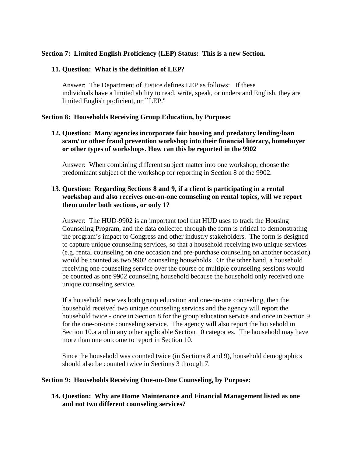#### **Section 7: Limited English Proficiency (LEP) Status: This is a new Section.**

#### **11. Question: What is the definition of LEP?**

Answer: The Department of Justice defines LEP as follows: If these individuals have a limited ability to read, write, speak, or understand English, they are limited English proficient, or ``LEP.''

#### **Section 8: Households Receiving Group Education, by Purpose:**

**12. Question: Many agencies incorporate fair housing and predatory lending/loan scam/ or other fraud prevention workshop into their financial literacy, homebuyer or other types of workshops. How can this be reported in the 9902**

Answer: When combining different subject matter into one workshop, choose the predominant subject of the workshop for reporting in Section 8 of the 9902.

# **13. Question: Regarding Sections 8 and 9, if a client is participating in a rental workshop and also receives one-on-one counseling on rental topics, will we report them under both sections, or only 1?**

Answer: The HUD-9902 is an important tool that HUD uses to track the Housing Counseling Program, and the data collected through the form is critical to demonstrating the program's impact to Congress and other industry stakeholders. The form is designed to capture unique counseling services, so that a household receiving two unique services (e.g. rental counseling on one occasion and pre-purchase counseling on another occasion) would be counted as two 9902 counseling households. On the other hand, a household receiving one counseling service over the course of multiple counseling sessions would be counted as one 9902 counseling household because the household only received one unique counseling service.

If a household receives both group education and one-on-one counseling, then the household received two unique counseling services and the agency will report the household twice - once in Section 8 for the group education service and once in Section 9 for the one-on-one counseling service. The agency will also report the household in Section 10.a and in any other applicable Section 10 categories. The household may have more than one outcome to report in Section 10.

Since the household was counted twice (in Sections 8 and 9), household demographics should also be counted twice in Sections 3 through 7.

#### **Section 9: Households Receiving One-on-One Counseling, by Purpose:**

**14. Question: Why are Home Maintenance and Financial Management listed as one and not two different counseling services?**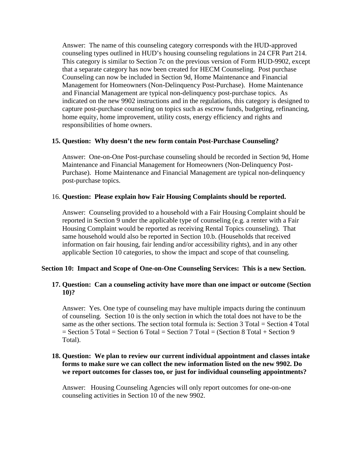Answer: The name of this counseling category corresponds with the HUD-approved counseling types outlined in HUD's housing counseling regulations in 24 CFR Part 214. This category is similar to Section 7c on the previous version of Form HUD-9902, except that a separate category has now been created for HECM Counseling. Post purchase Counseling can now be included in Section 9d, Home Maintenance and Financial Management for Homeowners (Non-Delinquency Post-Purchase). Home Maintenance and Financial Management are typical non-delinquency post-purchase topics. As indicated on the new 9902 instructions and in the regulations, this category is designed to capture post-purchase counseling on topics such as escrow funds, budgeting, refinancing, home equity, home improvement, utility costs, energy efficiency and rights and responsibilities of home owners.

#### **15. Question: Why doesn't the new form contain Post-Purchase Counseling?**

Answer: One-on-One Post-purchase counseling should be recorded in Section 9d, Home Maintenance and Financial Management for Homeowners (Non-Delinquency Post-Purchase). Home Maintenance and Financial Management are typical non-delinquency post-purchase topics.

## 16. **Question: Please explain how Fair Housing Complaints should be reported.**

Answer: Counseling provided to a household with a Fair Housing Complaint should be reported in Section 9 under the applicable type of counseling (e.g. a renter with a Fair Housing Complaint would be reported as receiving Rental Topics counseling). That same household would also be reported in Section 10.b. (Households that received information on fair housing, fair lending and/or accessibility rights), and in any other applicable Section 10 categories, to show the impact and scope of that counseling.

#### **Section 10: Impact and Scope of One-on-One Counseling Services: This is a new Section.**

## **17. Question: Can a counseling activity have more than one impact or outcome (Section 10)?**

Answer: Yes. One type of counseling may have multiple impacts during the continuum of counseling. Section 10 is the only section in which the total does not have to be the same as the other sections. The section total formula is: Section 3 Total = Section 4 Total = Section 5 Total = Section 6 Total = Section 7 Total = (Section 8 Total + Section 9 Total).

#### **18. Question: We plan to review our current individual appointment and classes intake forms to make sure we can collect the new information listed on the new 9902. Do we report outcomes for classes too, or just for individual counseling appointments?**

Answer: Housing Counseling Agencies will only report outcomes for one-on-one counseling activities in Section 10 of the new 9902.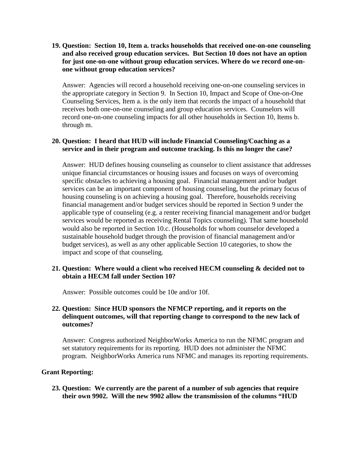# **19. Question: Section 10, Item a. tracks households that received one-on-one counseling and also received group education services. But Section 10 does not have an option for just one-on-one without group education services. Where do we record one-onone without group education services?**

Answer: Agencies will record a household receiving one-on-one counseling services in the appropriate category in Section 9. In Section 10, Impact and Scope of One-on-One Counseling Services, Item a. is the only item that records the impact of a household that receives both one-on-one counseling and group education services. Counselors will record one-on-one counseling impacts for all other households in Section 10, Items b. through m.

## **20. Question: I heard that HUD will include Financial Counseling/Coaching as a service and in their program and outcome tracking. Is this no longer the case?**

Answer: HUD defines housing counseling as counselor to client assistance that addresses unique financial circumstances or housing issues and focuses on ways of overcoming specific obstacles to achieving a housing goal. Financial management and/or budget services can be an important component of housing counseling, but the primary focus of housing counseling is on achieving a housing goal. Therefore, households receiving financial management and/or budget services should be reported in Section 9 under the applicable type of counseling (e.g. a renter receiving financial management and/or budget services would be reported as receiving Rental Topics counseling). That same household would also be reported in Section 10.c. (Households for whom counselor developed a sustainable household budget through the provision of financial management and/or budget services), as well as any other applicable Section 10 categories, to show the impact and scope of that counseling.

## **21. Question: Where would a client who received HECM counseling & decided not to obtain a HECM fall under Section 10?**

Answer: Possible outcomes could be 10e and/or 10f.

# **22. Question: Since HUD sponsors the NFMCP reporting, and it reports on the delinquent outcomes, will that reporting change to correspond to the new lack of outcomes?**

Answer: Congress authorized NeighborWorks America to run the NFMC program and set statutory requirements for its reporting. HUD does not administer the NFMC program. NeighborWorks America runs NFMC and manages its reporting requirements.

# **Grant Reporting:**

**23. Question: We currently are the parent of a number of sub agencies that require their own 9902. Will the new 9902 allow the transmission of the columns "HUD**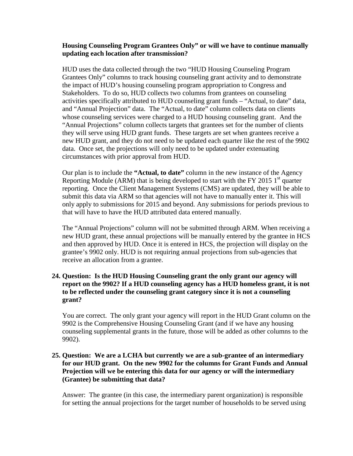#### **Housing Counseling Program Grantees Only" or will we have to continue manually updating each location after transmission?**

HUD uses the data collected through the two "HUD Housing Counseling Program Grantees Only" columns to track housing counseling grant activity and to demonstrate the impact of HUD's housing counseling program appropriation to Congress and Stakeholders. To do so, HUD collects two columns from grantees on counseling activities specifically attributed to HUD counseling grant funds – "Actual, to date" data, and "Annual Projection" data. The "Actual, to date" column collects data on clients whose counseling services were charged to a HUD housing counseling grant. And the "Annual Projections" column collects targets that grantees set for the number of clients they will serve using HUD grant funds. These targets are set when grantees receive a new HUD grant, and they do not need to be updated each quarter like the rest of the 9902 data. Once set, the projections will only need to be updated under extenuating circumstances with prior approval from HUD.

Our plan is to include the **"Actual, to date"** column in the new instance of the Agency Reporting Module (ARM) that is being developed to start with the FY 2015  $1<sup>st</sup>$  quarter reporting. Once the Client Management Systems (CMS) are updated, they will be able to submit this data via ARM so that agencies will not have to manually enter it. This will only apply to submissions for 2015 and beyond. Any submissions for periods previous to that will have to have the HUD attributed data entered manually.

The "Annual Projections" column will not be submitted through ARM. When receiving a new HUD grant, these annual projections will be manually entered by the grantee in HCS and then approved by HUD. Once it is entered in HCS, the projection will display on the grantee's 9902 only. HUD is not requiring annual projections from sub-agencies that receive an allocation from a grantee.

# **24. Question: Is the HUD Housing Counseling grant the only grant our agency will report on the 9902? If a HUD counseling agency has a HUD homeless grant, it is not to be reflected under the counseling grant category since it is not a counseling grant?**

You are correct. The only grant your agency will report in the HUD Grant column on the 9902 is the Comprehensive Housing Counseling Grant (and if we have any housing counseling supplemental grants in the future, those will be added as other columns to the 9902).

# **25. Question: We are a LCHA but currently we are a sub-grantee of an intermediary for our HUD grant. On the new 9902 for the columns for Grant Funds and Annual Projection will we be entering this data for our agency or will the intermediary (Grantee) be submitting that data?**

Answer: The grantee (in this case, the intermediary parent organization) is responsible for setting the annual projections for the target number of households to be served using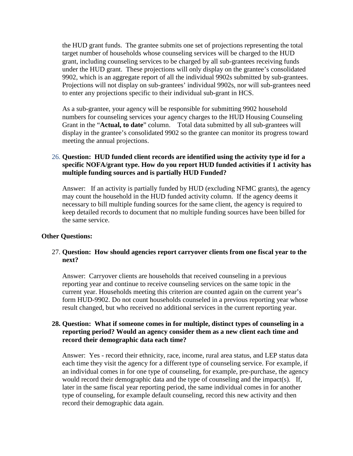the HUD grant funds. The grantee submits one set of projections representing the total target number of households whose counseling services will be charged to the HUD grant, including counseling services to be charged by all sub-grantees receiving funds under the HUD grant. These projections will only display on the grantee's consolidated 9902, which is an aggregate report of all the individual 9902s submitted by sub-grantees. Projections will not display on sub-grantees' individual 9902s, nor will sub-grantees need to enter any projections specific to their individual sub-grant in HCS.

As a sub-grantee, your agency will be responsible for submitting 9902 household numbers for counseling services your agency charges to the HUD Housing Counseling Grant in the "**Actual, to date**" column. Total data submitted by all sub-grantees will display in the grantee's consolidated 9902 so the grantee can monitor its progress toward meeting the annual projections.

# 26. **Question: HUD funded client records are identified using the activity type id for a specific NOFA/grant type. How do you report HUD funded activities if 1 activity has multiple funding sources and is partially HUD Funded?**

Answer: If an activity is partially funded by HUD (excluding NFMC grants), the agency may count the household in the HUD funded activity column. If the agency deems it necessary to bill multiple funding sources for the same client, the agency is required to keep detailed records to document that no multiple funding sources have been billed for the same service.

#### **Other Questions:**

## 27. **Question: How should agencies report carryover clients from one fiscal year to the next?**

Answer: Carryover clients are households that received counseling in a previous reporting year and continue to receive counseling services on the same topic in the current year. Households meeting this criterion are counted again on the current year's form HUD-9902. Do not count households counseled in a previous reporting year whose result changed, but who received no additional services in the current reporting year.

#### **28. Question: What if someone comes in for multiple, distinct types of counseling in a reporting period? Would an agency consider them as a new client each time and record their demographic data each time?**

Answer: Yes - record their ethnicity, race, income, rural area status, and LEP status data each time they visit the agency for a different type of counseling service. For example, if an individual comes in for one type of counseling, for example, pre-purchase, the agency would record their demographic data and the type of counseling and the impact(s). If, later in the same fiscal year reporting period, the same individual comes in for another type of counseling, for example default counseling, record this new activity and then record their demographic data again.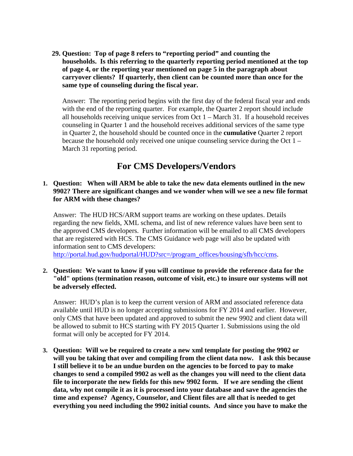**29. Question: Top of page 8 refers to "reporting period" and counting the households. Is this referring to the quarterly reporting period mentioned at the top of page 4, or the reporting year mentioned on page 5 in the paragraph about carryover clients? If quarterly, then client can be counted more than once for the same type of counseling during the fiscal year.**

Answer: The reporting period begins with the first day of the federal fiscal year and ends with the end of the reporting quarter. For example, the Quarter 2 report should include all households receiving unique services from Oct 1 – March 31. If a household receives counseling in Quarter 1 and the household receives additional services of the same type in Quarter 2, the household should be counted once in the **cumulative** Quarter 2 report because the household only received one unique counseling service during the Oct 1 – March 31 reporting period.

# **For CMS Developers/Vendors**

#### **1. Question: When will ARM be able to take the new data elements outlined in the new 9902? There are significant changes and we wonder when will we see a new file format for ARM with these changes?**

Answer: The HUD HCS/ARM support teams are working on these updates. Details regarding the new fields, XML schema, and list of new reference values have been sent to the approved CMS developers. Further information will be emailed to all CMS developers that are registered with HCS. The CMS Guidance web page will also be updated with information sent to CMS developers:

[http://portal.hud.gov/hudportal/HUD?src=/program\\_offices/housing/sfh/hcc/cms](http://portal.hud.gov/hudportal/HUD?src=/program_offices/housing/sfh/hcc/cms).

#### **2. Question: We want to know if you will continue to provide the reference data for the "old" options (termination reason, outcome of visit, etc.) to insure our systems will not be adversely effected.**

Answer: HUD's plan is to keep the current version of ARM and associated reference data available until HUD is no longer accepting submissions for FY 2014 and earlier. However, only CMS that have been updated and approved to submit the new 9902 and client data will be allowed to submit to HCS starting with FY 2015 Quarter 1. Submissions using the old format will only be accepted for FY 2014.

**3. Question: Will we be required to create a new xml template for posting the 9902 or will you be taking that over and compiling from the client data now. I ask this because I still believe it to be an undue burden on the agencies to be forced to pay to make changes to send a compiled 9902 as well as the changes you will need to the client data file to incorporate the new fields for this new 9902 form. If we are sending the client data, why not compile it as it is processed into your database and save the agencies the time and expense? Agency, Counselor, and Client files are all that is needed to get everything you need including the 9902 initial counts. And since you have to make the**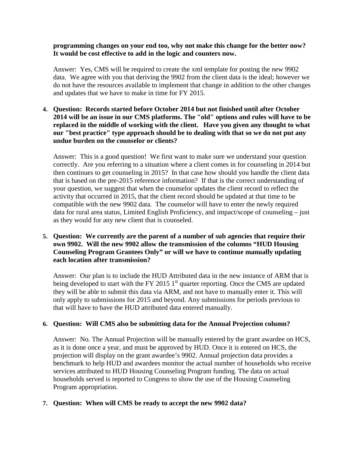**programming changes on your end too, why not make this change for the better now? It would be cost effective to add in the logic and counters now.**

Answer: Yes, CMS will be required to create the xml template for posting the new 9902 data. We agree with you that deriving the 9902 from the client data is the ideal; however we do not have the resources available to implement that change in addition to the other changes and updates that we have to make in time for FY 2015.

**4. Question: Records started before October 2014 but not finished until after October 2014 will be an issue in our CMS platforms. The "old" options and rules will have to be replaced in the middle of working with the client. Have you given any thought to what our "best practice" type approach should be to dealing with that so we do not put any undue burden on the counselor or clients?**

Answer: This is a good question! We first want to make sure we understand your question correctly. Are you referring to a situation where a client comes in for counseling in 2014 but then continues to get counseling in 2015? In that case how should you handle the client data that is based on the pre-2015 reference information? If that is the correct understanding of your question, we suggest that when the counselor updates the client record to reflect the activity that occurred in 2015, that the client record should be updated at that time to be compatible with the new 9902 data. The counselor will have to enter the newly required data for rural area status, Limited English Proficiency, and impact/scope of counseling – just as they would for any new client that is counseled.

**5. Question: We currently are the parent of a number of sub agencies that require their own 9902. Will the new 9902 allow the transmission of the columns "HUD Housing Counseling Program Grantees Only" or will we have to continue manually updating each location after transmission?**

Answer: Our plan is to include the HUD Attributed data in the new instance of ARM that is being developed to start with the FY 2015  $1<sup>st</sup>$  quarter reporting. Once the CMS are updated they will be able to submit this data via ARM, and not have to manually enter it. This will only apply to submissions for 2015 and beyond. Any submissions for periods previous to that will have to have the HUD attributed data entered manually.

# **6. Question: Will CMS also be submitting data for the Annual Projection column?**

Answer: No. The Annual Projection will be manually entered by the grant awardee on HCS, as it is done once a year, and must be approved by HUD. Once it is entered on HCS, the projection will display on the grant awardee's 9902. Annual projection data provides a benchmark to help HUD and awardees monitor the actual number of households who receive services attributed to HUD Housing Counseling Program funding. The data on actual households served is reported to Congress to show the use of the Housing Counseling Program appropriation.

# **7. Question: When will CMS be ready to accept the new 9902 data?**